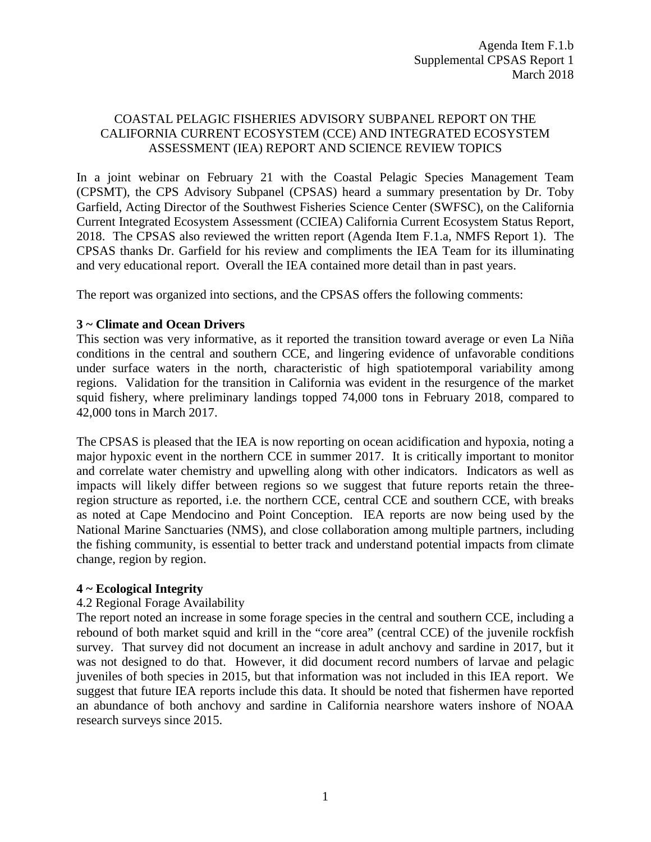# COASTAL PELAGIC FISHERIES ADVISORY SUBPANEL REPORT ON THE CALIFORNIA CURRENT ECOSYSTEM (CCE) AND INTEGRATED ECOSYSTEM ASSESSMENT (IEA) REPORT AND SCIENCE REVIEW TOPICS

In a joint webinar on February 21 with the Coastal Pelagic Species Management Team (CPSMT), the CPS Advisory Subpanel (CPSAS) heard a summary presentation by Dr. Toby Garfield, Acting Director of the Southwest Fisheries Science Center (SWFSC), on the California Current Integrated Ecosystem Assessment (CCIEA) California Current Ecosystem Status Report, 2018. The CPSAS also reviewed the written report (Agenda Item F.1.a, NMFS Report 1). The CPSAS thanks Dr. Garfield for his review and compliments the IEA Team for its illuminating and very educational report. Overall the IEA contained more detail than in past years.

The report was organized into sections, and the CPSAS offers the following comments:

# **3 ~ Climate and Ocean Drivers**

This section was very informative, as it reported the transition toward average or even La Niña conditions in the central and southern CCE, and lingering evidence of unfavorable conditions under surface waters in the north, characteristic of high spatiotemporal variability among regions. Validation for the transition in California was evident in the resurgence of the market squid fishery, where preliminary landings topped 74,000 tons in February 2018, compared to 42,000 tons in March 2017.

The CPSAS is pleased that the IEA is now reporting on ocean acidification and hypoxia, noting a major hypoxic event in the northern CCE in summer 2017. It is critically important to monitor and correlate water chemistry and upwelling along with other indicators. Indicators as well as impacts will likely differ between regions so we suggest that future reports retain the threeregion structure as reported, i.e. the northern CCE, central CCE and southern CCE, with breaks as noted at Cape Mendocino and Point Conception. IEA reports are now being used by the National Marine Sanctuaries (NMS), and close collaboration among multiple partners, including the fishing community, is essential to better track and understand potential impacts from climate change, region by region.

### **4 ~ Ecological Integrity**

# 4.2 Regional Forage Availability

The report noted an increase in some forage species in the central and southern CCE, including a rebound of both market squid and krill in the "core area" (central CCE) of the juvenile rockfish survey. That survey did not document an increase in adult anchovy and sardine in 2017, but it was not designed to do that. However, it did document record numbers of larvae and pelagic juveniles of both species in 2015, but that information was not included in this IEA report. We suggest that future IEA reports include this data. It should be noted that fishermen have reported an abundance of both anchovy and sardine in California nearshore waters inshore of NOAA research surveys since 2015.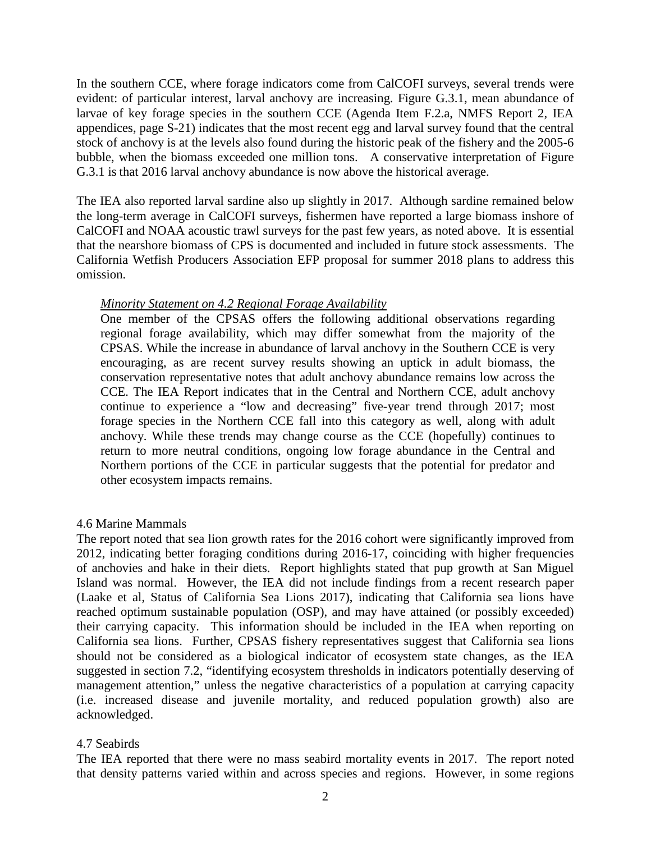In the southern CCE, where forage indicators come from CalCOFI surveys, several trends were evident: of particular interest, larval anchovy are increasing. Figure G.3.1, mean abundance of larvae of key forage species in the southern CCE (Agenda Item F.2.a, NMFS Report 2, IEA appendices, page S-21) indicates that the most recent egg and larval survey found that the central stock of anchovy is at the levels also found during the historic peak of the fishery and the 2005-6 bubble, when the biomass exceeded one million tons. A conservative interpretation of Figure G.3.1 is that 2016 larval anchovy abundance is now above the historical average.

The IEA also reported larval sardine also up slightly in 2017. Although sardine remained below the long-term average in CalCOFI surveys, fishermen have reported a large biomass inshore of CalCOFI and NOAA acoustic trawl surveys for the past few years, as noted above. It is essential that the nearshore biomass of CPS is documented and included in future stock assessments. The California Wetfish Producers Association EFP proposal for summer 2018 plans to address this omission.

### *Minority Statement on 4.2 Regional Forage Availability*

One member of the CPSAS offers the following additional observations regarding regional forage availability, which may differ somewhat from the majority of the CPSAS. While the increase in abundance of larval anchovy in the Southern CCE is very encouraging, as are recent survey results showing an uptick in adult biomass, the conservation representative notes that adult anchovy abundance remains low across the CCE. The IEA Report indicates that in the Central and Northern CCE, adult anchovy continue to experience a "low and decreasing" five-year trend through 2017; most forage species in the Northern CCE fall into this category as well, along with adult anchovy. While these trends may change course as the CCE (hopefully) continues to return to more neutral conditions, ongoing low forage abundance in the Central and Northern portions of the CCE in particular suggests that the potential for predator and other ecosystem impacts remains.

#### 4.6 Marine Mammals

The report noted that sea lion growth rates for the 2016 cohort were significantly improved from 2012, indicating better foraging conditions during 2016-17, coinciding with higher frequencies of anchovies and hake in their diets. Report highlights stated that pup growth at San Miguel Island was normal. However, the IEA did not include findings from a recent research paper (Laake et al, Status of California Sea Lions 2017), indicating that California sea lions have reached optimum sustainable population (OSP), and may have attained (or possibly exceeded) their carrying capacity. This information should be included in the IEA when reporting on California sea lions. Further, CPSAS fishery representatives suggest that California sea lions should not be considered as a biological indicator of ecosystem state changes, as the IEA suggested in section 7.2, "identifying ecosystem thresholds in indicators potentially deserving of management attention," unless the negative characteristics of a population at carrying capacity (i.e. increased disease and juvenile mortality, and reduced population growth) also are acknowledged.

### 4.7 Seabirds

The IEA reported that there were no mass seabird mortality events in 2017. The report noted that density patterns varied within and across species and regions. However, in some regions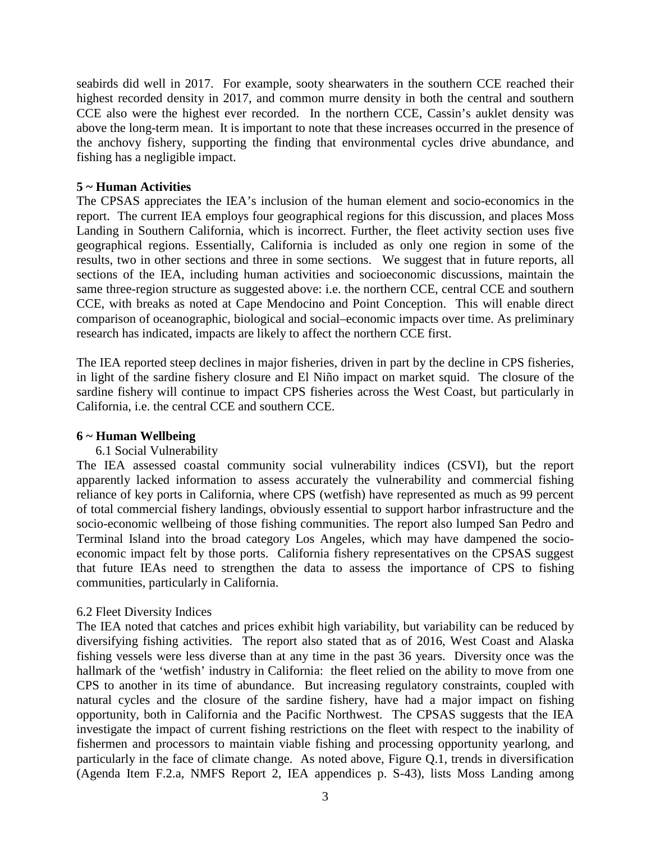seabirds did well in 2017. For example, sooty shearwaters in the southern CCE reached their highest recorded density in 2017, and common murre density in both the central and southern CCE also were the highest ever recorded. In the northern CCE, Cassin's auklet density was above the long-term mean. It is important to note that these increases occurred in the presence of the anchovy fishery, supporting the finding that environmental cycles drive abundance, and fishing has a negligible impact.

#### **5 ~ Human Activities**

The CPSAS appreciates the IEA's inclusion of the human element and socio-economics in the report. The current IEA employs four geographical regions for this discussion, and places Moss Landing in Southern California, which is incorrect. Further, the fleet activity section uses five geographical regions. Essentially, California is included as only one region in some of the results, two in other sections and three in some sections. We suggest that in future reports, all sections of the IEA, including human activities and socioeconomic discussions, maintain the same three-region structure as suggested above: i.e. the northern CCE, central CCE and southern CCE, with breaks as noted at Cape Mendocino and Point Conception. This will enable direct comparison of oceanographic, biological and social–economic impacts over time. As preliminary research has indicated, impacts are likely to affect the northern CCE first.

The IEA reported steep declines in major fisheries, driven in part by the decline in CPS fisheries, in light of the sardine fishery closure and El Niño impact on market squid. The closure of the sardine fishery will continue to impact CPS fisheries across the West Coast, but particularly in California, i.e. the central CCE and southern CCE.

### **6 ~ Human Wellbeing**

### 6.1 Social Vulnerability

The IEA assessed coastal community social vulnerability indices (CSVI), but the report apparently lacked information to assess accurately the vulnerability and commercial fishing reliance of key ports in California, where CPS (wetfish) have represented as much as 99 percent of total commercial fishery landings, obviously essential to support harbor infrastructure and the socio-economic wellbeing of those fishing communities. The report also lumped San Pedro and Terminal Island into the broad category Los Angeles, which may have dampened the socioeconomic impact felt by those ports. California fishery representatives on the CPSAS suggest that future IEAs need to strengthen the data to assess the importance of CPS to fishing communities, particularly in California.

### 6.2 Fleet Diversity Indices

The IEA noted that catches and prices exhibit high variability, but variability can be reduced by diversifying fishing activities. The report also stated that as of 2016, West Coast and Alaska fishing vessels were less diverse than at any time in the past 36 years. Diversity once was the hallmark of the 'wetfish' industry in California: the fleet relied on the ability to move from one CPS to another in its time of abundance. But increasing regulatory constraints, coupled with natural cycles and the closure of the sardine fishery, have had a major impact on fishing opportunity, both in California and the Pacific Northwest. The CPSAS suggests that the IEA investigate the impact of current fishing restrictions on the fleet with respect to the inability of fishermen and processors to maintain viable fishing and processing opportunity yearlong, and particularly in the face of climate change. As noted above, Figure Q.1, trends in diversification (Agenda Item F.2.a, NMFS Report 2, IEA appendices p. S-43), lists Moss Landing among